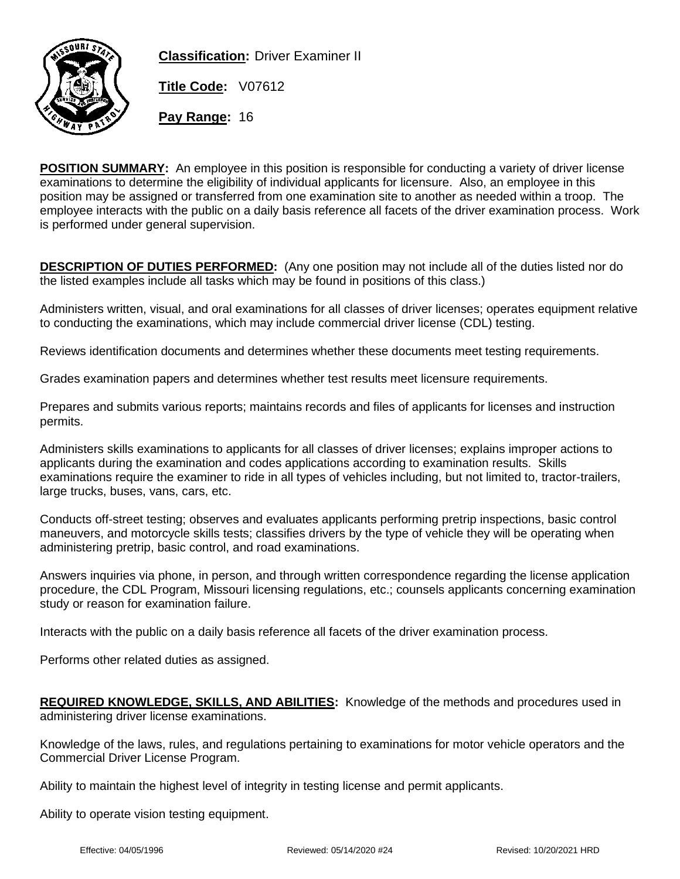

**Classification:** Driver Examiner II

**Title Code:** V07612

**Pay Range:** 16

**POSITION SUMMARY:** An employee in this position is responsible for conducting a variety of driver license examinations to determine the eligibility of individual applicants for licensure. Also, an employee in this position may be assigned or transferred from one examination site to another as needed within a troop. The employee interacts with the public on a daily basis reference all facets of the driver examination process. Work is performed under general supervision.

**DESCRIPTION OF DUTIES PERFORMED:** (Any one position may not include all of the duties listed nor do the listed examples include all tasks which may be found in positions of this class.)

Administers written, visual, and oral examinations for all classes of driver licenses; operates equipment relative to conducting the examinations, which may include commercial driver license (CDL) testing.

Reviews identification documents and determines whether these documents meet testing requirements.

Grades examination papers and determines whether test results meet licensure requirements.

Prepares and submits various reports; maintains records and files of applicants for licenses and instruction permits.

Administers skills examinations to applicants for all classes of driver licenses; explains improper actions to applicants during the examination and codes applications according to examination results. Skills examinations require the examiner to ride in all types of vehicles including, but not limited to, tractor-trailers, large trucks, buses, vans, cars, etc.

Conducts off-street testing; observes and evaluates applicants performing pretrip inspections, basic control maneuvers, and motorcycle skills tests; classifies drivers by the type of vehicle they will be operating when administering pretrip, basic control, and road examinations.

Answers inquiries via phone, in person, and through written correspondence regarding the license application procedure, the CDL Program, Missouri licensing regulations, etc.; counsels applicants concerning examination study or reason for examination failure.

Interacts with the public on a daily basis reference all facets of the driver examination process.

Performs other related duties as assigned.

**REQUIRED KNOWLEDGE, SKILLS, AND ABILITIES:** Knowledge of the methods and procedures used in administering driver license examinations.

Knowledge of the laws, rules, and regulations pertaining to examinations for motor vehicle operators and the Commercial Driver License Program.

Ability to maintain the highest level of integrity in testing license and permit applicants.

Ability to operate vision testing equipment.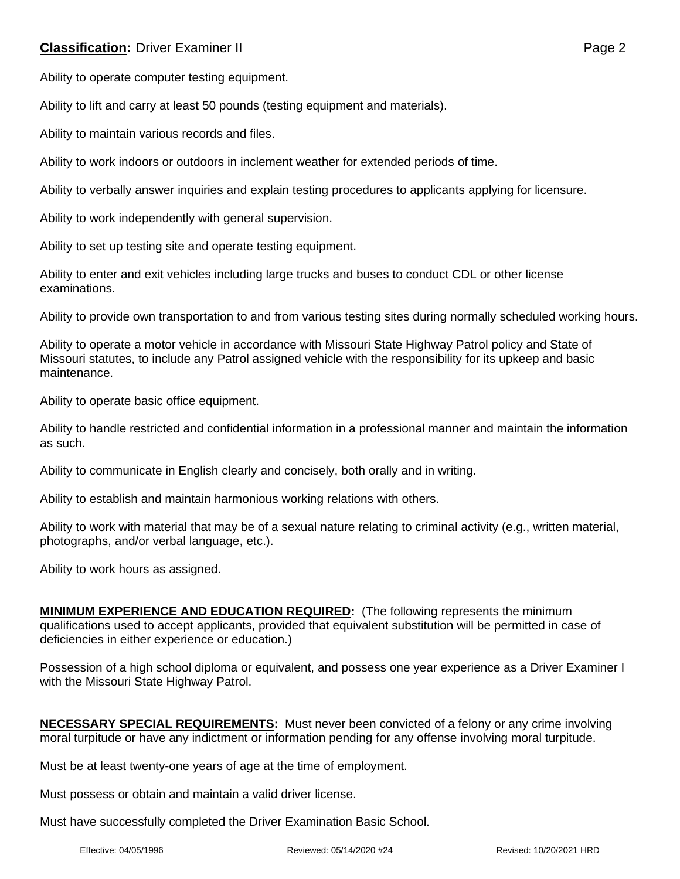## **Classification:** Driver Examiner II **Classification:** Page 2

Ability to operate computer testing equipment.

Ability to lift and carry at least 50 pounds (testing equipment and materials).

Ability to maintain various records and files.

Ability to work indoors or outdoors in inclement weather for extended periods of time.

Ability to verbally answer inquiries and explain testing procedures to applicants applying for licensure.

Ability to work independently with general supervision.

Ability to set up testing site and operate testing equipment.

Ability to enter and exit vehicles including large trucks and buses to conduct CDL or other license examinations.

Ability to provide own transportation to and from various testing sites during normally scheduled working hours.

Ability to operate a motor vehicle in accordance with Missouri State Highway Patrol policy and State of Missouri statutes, to include any Patrol assigned vehicle with the responsibility for its upkeep and basic maintenance.

Ability to operate basic office equipment.

Ability to handle restricted and confidential information in a professional manner and maintain the information as such.

Ability to communicate in English clearly and concisely, both orally and in writing.

Ability to establish and maintain harmonious working relations with others.

Ability to work with material that may be of a sexual nature relating to criminal activity (e.g., written material, photographs, and/or verbal language, etc.).

Ability to work hours as assigned.

**MINIMUM EXPERIENCE AND EDUCATION REQUIRED:** (The following represents the minimum qualifications used to accept applicants, provided that equivalent substitution will be permitted in case of deficiencies in either experience or education.)

Possession of a high school diploma or equivalent, and possess one year experience as a Driver Examiner I with the Missouri State Highway Patrol.

**NECESSARY SPECIAL REQUIREMENTS:** Must never been convicted of a felony or any crime involving moral turpitude or have any indictment or information pending for any offense involving moral turpitude.

Must be at least twenty-one years of age at the time of employment.

Must possess or obtain and maintain a valid driver license.

Must have successfully completed the Driver Examination Basic School.